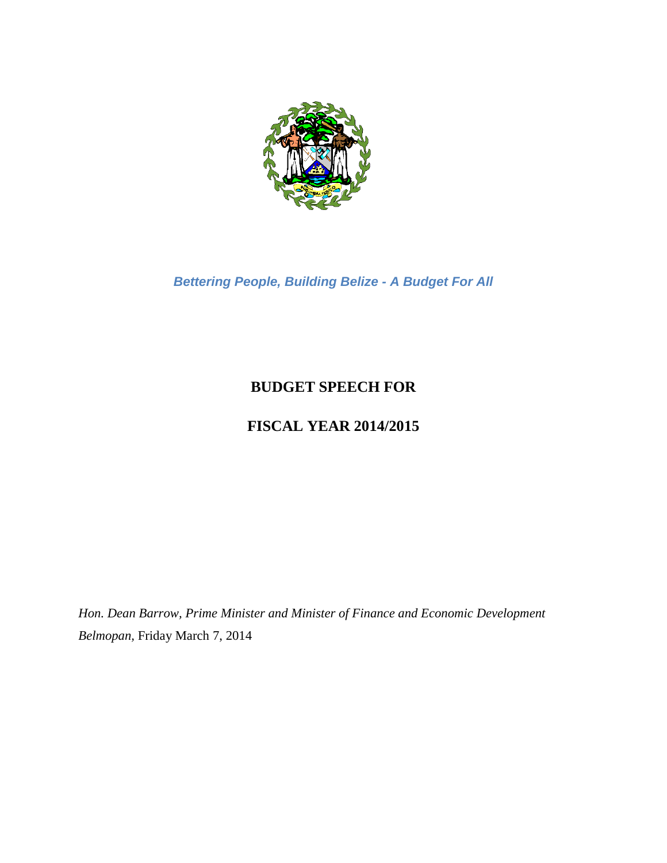

*Bettering People, Building Belize - A Budget For All*

# **BUDGET SPEECH FOR**

# **FISCAL YEAR 2014/2015**

*Hon. Dean Barrow, Prime Minister and Minister of Finance and Economic Development Belmopan,* Friday March 7, 2014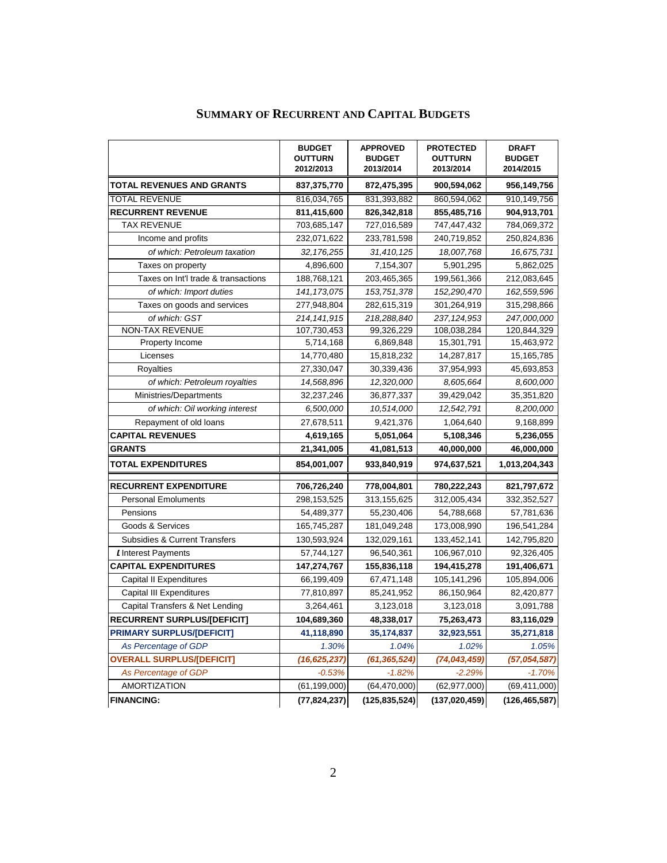|                                          | <b>BUDGET</b><br><b>OUTTURN</b><br>2012/2013 | <b>APPROVED</b><br><b>BUDGET</b><br>2013/2014 | <b>PROTECTED</b><br><b>OUTTURN</b><br>2013/2014 | <b>DRAFT</b><br><b>BUDGET</b><br>2014/2015 |
|------------------------------------------|----------------------------------------------|-----------------------------------------------|-------------------------------------------------|--------------------------------------------|
| <b>TOTAL REVENUES AND GRANTS</b>         | 837,375,770                                  | 872,475,395                                   | 900,594,062                                     | 956,149,756                                |
| <b>TOTAL REVENUE</b>                     | 816,034,765                                  | 831,393,882                                   | 860,594,062                                     | 910,149,756                                |
| <b>RECURRENT REVENUE</b>                 | 811,415,600                                  | 826,342,818                                   | 855,485,716                                     | 904,913,701                                |
| <b>TAX REVENUE</b>                       | 703,685,147                                  | 727,016,589                                   | 747,447,432                                     | 784,069,372                                |
| Income and profits                       | 232,071,622                                  | 233,781,598                                   | 240,719,852                                     | 250,824,836                                |
| of which: Petroleum taxation             | 32, 176, 255                                 | 31,410,125                                    | 18,007,768                                      | 16,675,731                                 |
| Taxes on property                        | 4,896,600                                    | 7,154,307                                     | 5,901,295                                       | 5,862,025                                  |
| Taxes on Int'l trade & transactions      | 188,768,121                                  | 203,465,365                                   | 199,561,366                                     | 212,083,645                                |
| of which: Import duties                  | 141, 173, 075                                | 153,751,378                                   | 152,290,470                                     | 162,559,596                                |
| Taxes on goods and services              | 277,948,804                                  | 282,615,319                                   | 301,264,919                                     | 315,298,866                                |
| of which: GST                            | 214, 141, 915                                | 218,288,840                                   | 237, 124, 953                                   | 247,000,000                                |
| <b>NON-TAX REVENUE</b>                   | 107,730,453                                  | 99,326,229                                    | 108,038,284                                     | 120,844,329                                |
| Property Income                          | 5,714,168                                    | 6,869,848                                     | 15,301,791                                      | 15,463,972                                 |
| Licenses                                 | 14,770,480                                   | 15,818,232                                    | 14,287,817                                      | 15,165,785                                 |
| Royalties                                | 27,330,047                                   | 30,339,436                                    | 37,954,993                                      | 45,693,853                                 |
| of which: Petroleum royalties            | 14,568,896                                   | 12,320,000                                    | 8.605.664                                       | 8,600,000                                  |
| Ministries/Departments                   | 32,237,246                                   | 36,877,337                                    | 39,429,042                                      | 35,351,820                                 |
| of which: Oil working interest           | 6,500,000                                    | 10,514,000                                    | 12,542,791                                      | 8,200,000                                  |
| Repayment of old loans                   | 27,678,511                                   | 9,421,376                                     | 1,064,640                                       | 9,168,899                                  |
| <b>CAPITAL REVENUES</b>                  | 4,619,165                                    | 5,051,064                                     | 5,108,346                                       | 5,236,055                                  |
| GRANTS                                   | 21,341,005                                   | 41,081,513                                    | 40,000,000                                      | 46,000,000                                 |
| <b>TOTAL EXPENDITURES</b>                | 854,001,007                                  | 933,840,919                                   | 974,637,521                                     | 1,013,204,343                              |
| <b>RECURRENT EXPENDITURE</b>             | 706,726,240                                  | 778,004,801                                   | 780,222,243                                     | 821,797,672                                |
| <b>Personal Emoluments</b>               | 298,153,525                                  | 313,155,625                                   | 312,005,434                                     | 332, 352, 527                              |
| Pensions                                 | 54,489,377                                   | 55,230,406                                    | 54,788,668                                      | 57,781,636                                 |
| Goods & Services                         | 165,745,287                                  | 181,049,248                                   | 173,008,990                                     | 196,541,284                                |
| <b>Subsidies &amp; Current Transfers</b> | 130,593,924                                  | 132,029,161                                   | 133,452,141                                     | 142,795,820                                |
| Interest Payments                        | 57,744,127                                   | 96,540,361                                    | 106,967,010                                     | 92,326,405                                 |
| <b>CAPITAL EXPENDITURES</b>              | 147,274,767                                  | 155,836,118                                   | 194,415,278                                     | 191,406,671                                |
| <b>Capital II Expenditures</b>           | 66,199,409                                   | 67,471,148                                    | 105, 141, 296                                   | 105,894,006                                |
| <b>Capital III Expenditures</b>          | 77,810,897                                   | 85,241,952                                    | 86,150,964                                      | 82,420,877                                 |
| Capital Transfers & Net Lending          | 3,264,461                                    | 3,123,018                                     | 3,123,018                                       | 3,091,788                                  |
| <b>RECURRENT SURPLUS/[DEFICIT]</b>       | 104,689,360                                  | 48,338,017                                    | 75,263,473                                      | 83,116,029                                 |
| <b>PRIMARY SURPLUS/[DEFICIT]</b>         | 41,118,890                                   | 35, 174, 837                                  | 32,923,551                                      | 35,271,818                                 |
| As Percentage of GDP                     | 1.30%                                        | 1.04%                                         | 1.02%                                           | 1.05%                                      |
| <b>OVERALL SURPLUS/[DEFICIT]</b>         | (16, 625, 237)                               | (61, 365, 524)                                | (74, 043, 459)                                  | (57,054,587)                               |
| As Percentage of GDP                     | $-0.53%$                                     | $-1.82%$                                      | $-2.29%$                                        | $-1.70%$                                   |
| <b>AMORTIZATION</b>                      | (61, 199, 000)                               | (64, 470, 000)                                | (62, 977, 000)                                  | (69, 411, 000)                             |
| <b>FINANCING:</b>                        | (77, 824, 237)                               | (125, 835, 524)                               | (137, 020, 459)                                 | (126, 465, 587)                            |

# **SUMMARY OF RECURRENT AND CAPITAL BUDGETS**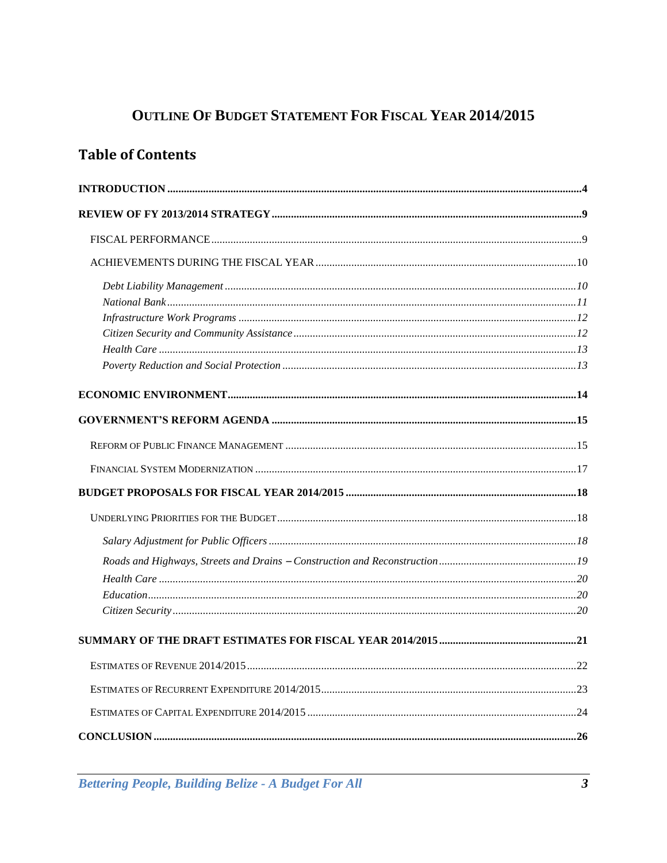# **OUTLINE OF BUDGET STATEMENT FOR FISCAL YEAR 2014/2015**

# **Table of Contents**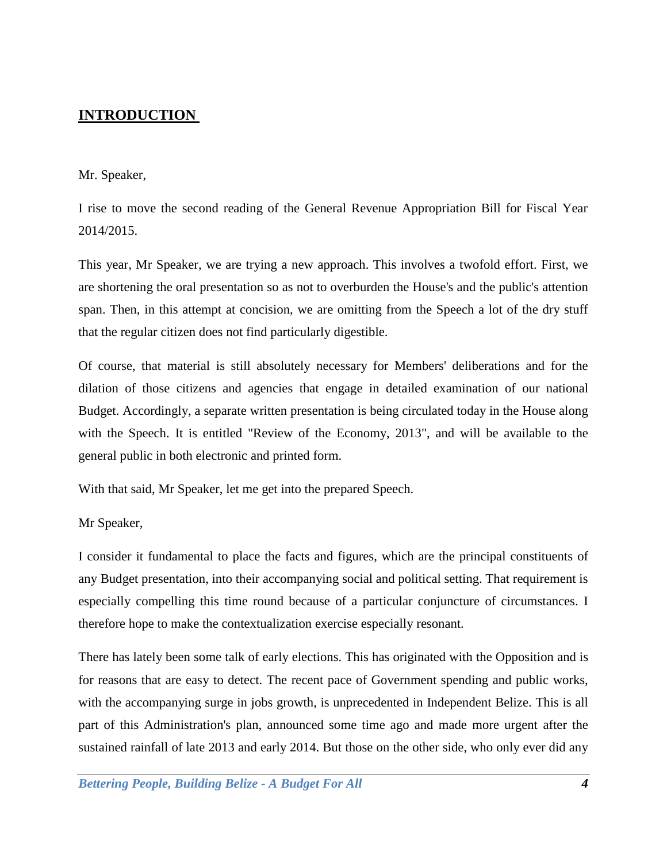# <span id="page-3-0"></span>**INTRODUCTION**

## Mr. Speaker,

I rise to move the second reading of the General Revenue Appropriation Bill for Fiscal Year 2014/2015.

This year, Mr Speaker, we are trying a new approach. This involves a twofold effort. First, we are shortening the oral presentation so as not to overburden the House's and the public's attention span. Then, in this attempt at concision, we are omitting from the Speech a lot of the dry stuff that the regular citizen does not find particularly digestible.

Of course, that material is still absolutely necessary for Members' deliberations and for the dilation of those citizens and agencies that engage in detailed examination of our national Budget. Accordingly, a separate written presentation is being circulated today in the House along with the Speech. It is entitled "Review of the Economy, 2013", and will be available to the general public in both electronic and printed form.

With that said, Mr Speaker, let me get into the prepared Speech.

Mr Speaker,

I consider it fundamental to place the facts and figures, which are the principal constituents of any Budget presentation, into their accompanying social and political setting. That requirement is especially compelling this time round because of a particular conjuncture of circumstances. I therefore hope to make the contextualization exercise especially resonant.

There has lately been some talk of early elections. This has originated with the Opposition and is for reasons that are easy to detect. The recent pace of Government spending and public works, with the accompanying surge in jobs growth, is unprecedented in Independent Belize. This is all part of this Administration's plan, announced some time ago and made more urgent after the sustained rainfall of late 2013 and early 2014. But those on the other side, who only ever did any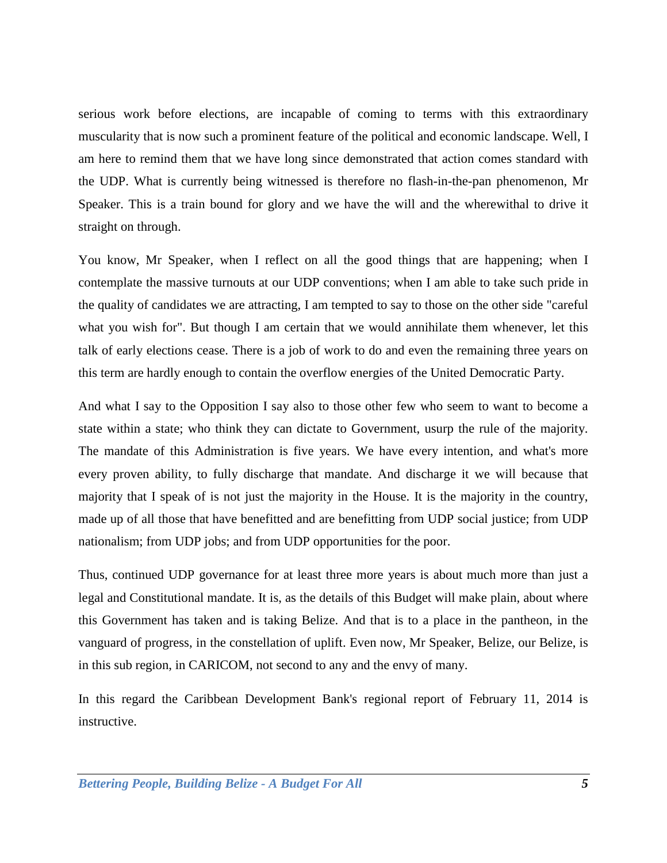serious work before elections, are incapable of coming to terms with this extraordinary muscularity that is now such a prominent feature of the political and economic landscape. Well, I am here to remind them that we have long since demonstrated that action comes standard with the UDP. What is currently being witnessed is therefore no flash-in-the-pan phenomenon, Mr Speaker. This is a train bound for glory and we have the will and the wherewithal to drive it straight on through.

You know, Mr Speaker, when I reflect on all the good things that are happening; when I contemplate the massive turnouts at our UDP conventions; when I am able to take such pride in the quality of candidates we are attracting, I am tempted to say to those on the other side "careful what you wish for". But though I am certain that we would annihilate them whenever, let this talk of early elections cease. There is a job of work to do and even the remaining three years on this term are hardly enough to contain the overflow energies of the United Democratic Party.

And what I say to the Opposition I say also to those other few who seem to want to become a state within a state; who think they can dictate to Government, usurp the rule of the majority. The mandate of this Administration is five years. We have every intention, and what's more every proven ability, to fully discharge that mandate. And discharge it we will because that majority that I speak of is not just the majority in the House. It is the majority in the country, made up of all those that have benefitted and are benefitting from UDP social justice; from UDP nationalism; from UDP jobs; and from UDP opportunities for the poor.

Thus, continued UDP governance for at least three more years is about much more than just a legal and Constitutional mandate. It is, as the details of this Budget will make plain, about where this Government has taken and is taking Belize. And that is to a place in the pantheon, in the vanguard of progress, in the constellation of uplift. Even now, Mr Speaker, Belize, our Belize, is in this sub region, in CARICOM, not second to any and the envy of many.

In this regard the Caribbean Development Bank's regional report of February 11, 2014 is instructive.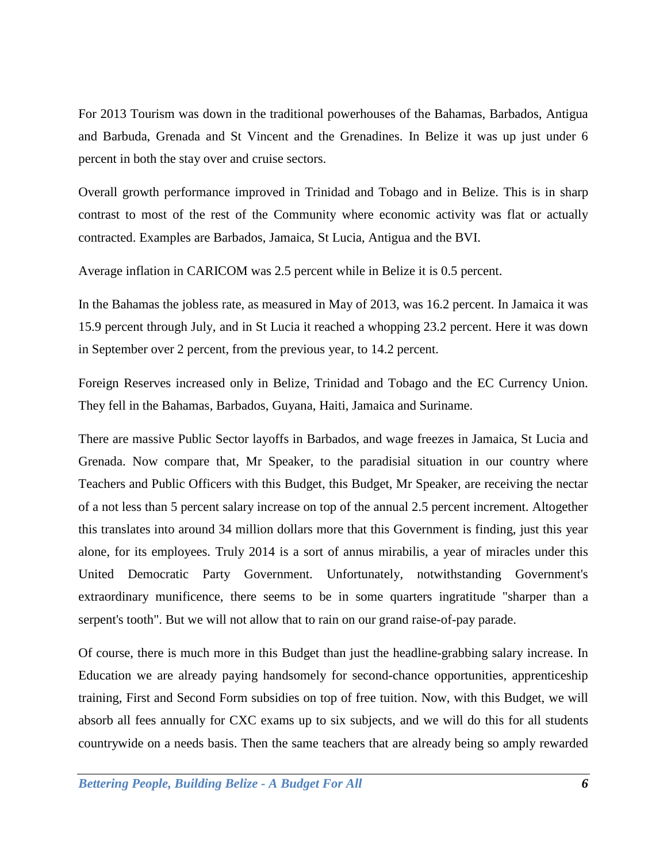For 2013 Tourism was down in the traditional powerhouses of the Bahamas, Barbados, Antigua and Barbuda, Grenada and St Vincent and the Grenadines. In Belize it was up just under 6 percent in both the stay over and cruise sectors.

Overall growth performance improved in Trinidad and Tobago and in Belize. This is in sharp contrast to most of the rest of the Community where economic activity was flat or actually contracted. Examples are Barbados, Jamaica, St Lucia, Antigua and the BVI.

Average inflation in CARICOM was 2.5 percent while in Belize it is 0.5 percent.

In the Bahamas the jobless rate, as measured in May of 2013, was 16.2 percent. In Jamaica it was 15.9 percent through July, and in St Lucia it reached a whopping 23.2 percent. Here it was down in September over 2 percent, from the previous year, to 14.2 percent.

Foreign Reserves increased only in Belize, Trinidad and Tobago and the EC Currency Union. They fell in the Bahamas, Barbados, Guyana, Haiti, Jamaica and Suriname.

There are massive Public Sector layoffs in Barbados, and wage freezes in Jamaica, St Lucia and Grenada. Now compare that, Mr Speaker, to the paradisial situation in our country where Teachers and Public Officers with this Budget, this Budget, Mr Speaker, are receiving the nectar of a not less than 5 percent salary increase on top of the annual 2.5 percent increment. Altogether this translates into around 34 million dollars more that this Government is finding, just this year alone, for its employees. Truly 2014 is a sort of annus mirabilis, a year of miracles under this United Democratic Party Government. Unfortunately, notwithstanding Government's extraordinary munificence, there seems to be in some quarters ingratitude "sharper than a serpent's tooth". But we will not allow that to rain on our grand raise-of-pay parade.

Of course, there is much more in this Budget than just the headline-grabbing salary increase. In Education we are already paying handsomely for second-chance opportunities, apprenticeship training, First and Second Form subsidies on top of free tuition. Now, with this Budget, we will absorb all fees annually for CXC exams up to six subjects, and we will do this for all students countrywide on a needs basis. Then the same teachers that are already being so amply rewarded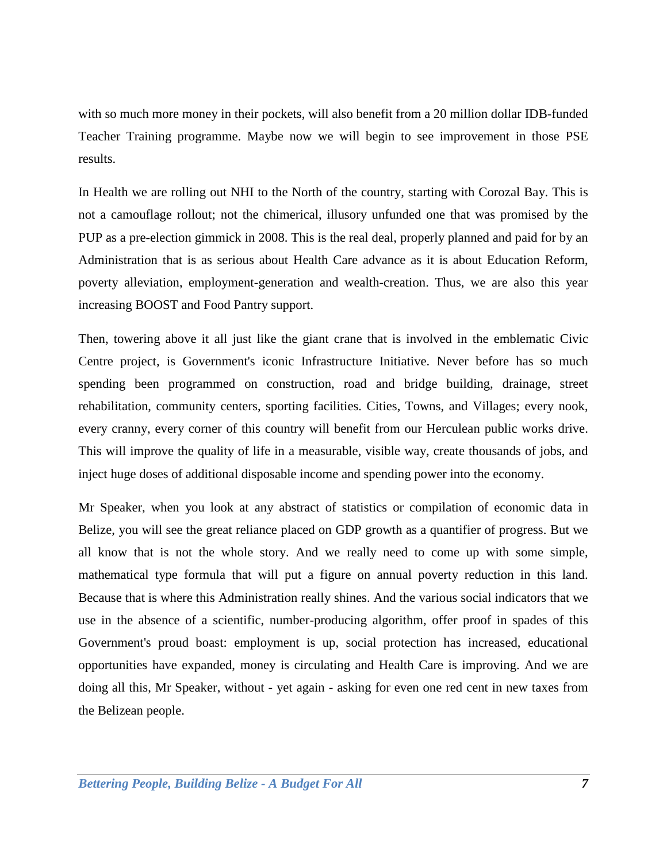with so much more money in their pockets, will also benefit from a 20 million dollar IDB-funded Teacher Training programme. Maybe now we will begin to see improvement in those PSE results.

In Health we are rolling out NHI to the North of the country, starting with Corozal Bay. This is not a camouflage rollout; not the chimerical, illusory unfunded one that was promised by the PUP as a pre-election gimmick in 2008. This is the real deal, properly planned and paid for by an Administration that is as serious about Health Care advance as it is about Education Reform, poverty alleviation, employment-generation and wealth-creation. Thus, we are also this year increasing BOOST and Food Pantry support.

Then, towering above it all just like the giant crane that is involved in the emblematic Civic Centre project, is Government's iconic Infrastructure Initiative. Never before has so much spending been programmed on construction, road and bridge building, drainage, street rehabilitation, community centers, sporting facilities. Cities, Towns, and Villages; every nook, every cranny, every corner of this country will benefit from our Herculean public works drive. This will improve the quality of life in a measurable, visible way, create thousands of jobs, and inject huge doses of additional disposable income and spending power into the economy.

Mr Speaker, when you look at any abstract of statistics or compilation of economic data in Belize, you will see the great reliance placed on GDP growth as a quantifier of progress. But we all know that is not the whole story. And we really need to come up with some simple, mathematical type formula that will put a figure on annual poverty reduction in this land. Because that is where this Administration really shines. And the various social indicators that we use in the absence of a scientific, number-producing algorithm, offer proof in spades of this Government's proud boast: employment is up, social protection has increased, educational opportunities have expanded, money is circulating and Health Care is improving. And we are doing all this, Mr Speaker, without - yet again - asking for even one red cent in new taxes from the Belizean people.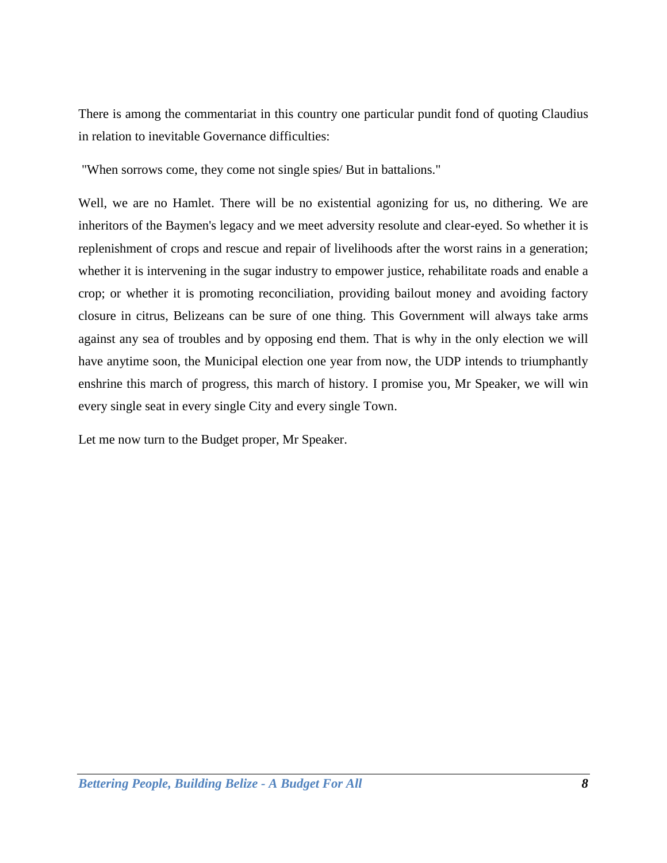There is among the commentariat in this country one particular pundit fond of quoting Claudius in relation to inevitable Governance difficulties:

"When sorrows come, they come not single spies/ But in battalions."

Well, we are no Hamlet. There will be no existential agonizing for us, no dithering. We are inheritors of the Baymen's legacy and we meet adversity resolute and clear-eyed. So whether it is replenishment of crops and rescue and repair of livelihoods after the worst rains in a generation; whether it is intervening in the sugar industry to empower justice, rehabilitate roads and enable a crop; or whether it is promoting reconciliation, providing bailout money and avoiding factory closure in citrus, Belizeans can be sure of one thing. This Government will always take arms against any sea of troubles and by opposing end them. That is why in the only election we will have anytime soon, the Municipal election one year from now, the UDP intends to triumphantly enshrine this march of progress, this march of history. I promise you, Mr Speaker, we will win every single seat in every single City and every single Town.

Let me now turn to the Budget proper, Mr Speaker.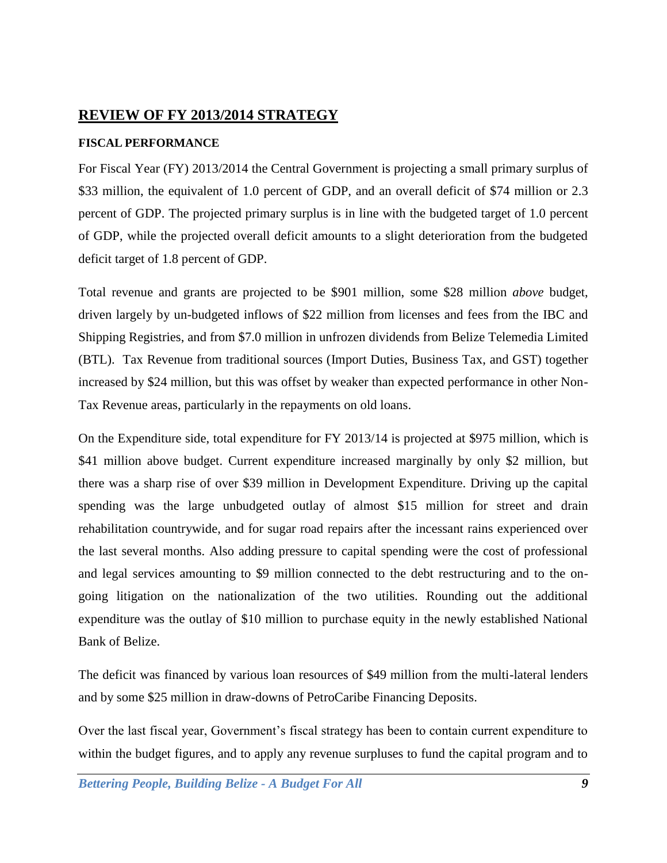# <span id="page-8-0"></span>**REVIEW OF FY 2013/2014 STRATEGY**

# <span id="page-8-1"></span>**FISCAL PERFORMANCE**

For Fiscal Year (FY) 2013/2014 the Central Government is projecting a small primary surplus of \$33 million, the equivalent of 1.0 percent of GDP, and an overall deficit of \$74 million or 2.3 percent of GDP. The projected primary surplus is in line with the budgeted target of 1.0 percent of GDP, while the projected overall deficit amounts to a slight deterioration from the budgeted deficit target of 1.8 percent of GDP.

Total revenue and grants are projected to be \$901 million, some \$28 million *above* budget, driven largely by un-budgeted inflows of \$22 million from licenses and fees from the IBC and Shipping Registries, and from \$7.0 million in unfrozen dividends from Belize Telemedia Limited (BTL). Tax Revenue from traditional sources (Import Duties, Business Tax, and GST) together increased by \$24 million, but this was offset by weaker than expected performance in other Non-Tax Revenue areas, particularly in the repayments on old loans.

On the Expenditure side, total expenditure for FY 2013/14 is projected at \$975 million, which is \$41 million above budget. Current expenditure increased marginally by only \$2 million, but there was a sharp rise of over \$39 million in Development Expenditure. Driving up the capital spending was the large unbudgeted outlay of almost \$15 million for street and drain rehabilitation countrywide, and for sugar road repairs after the incessant rains experienced over the last several months. Also adding pressure to capital spending were the cost of professional and legal services amounting to \$9 million connected to the debt restructuring and to the ongoing litigation on the nationalization of the two utilities. Rounding out the additional expenditure was the outlay of \$10 million to purchase equity in the newly established National Bank of Belize.

The deficit was financed by various loan resources of \$49 million from the multi-lateral lenders and by some \$25 million in draw-downs of PetroCaribe Financing Deposits.

Over the last fiscal year, Government's fiscal strategy has been to contain current expenditure to within the budget figures, and to apply any revenue surpluses to fund the capital program and to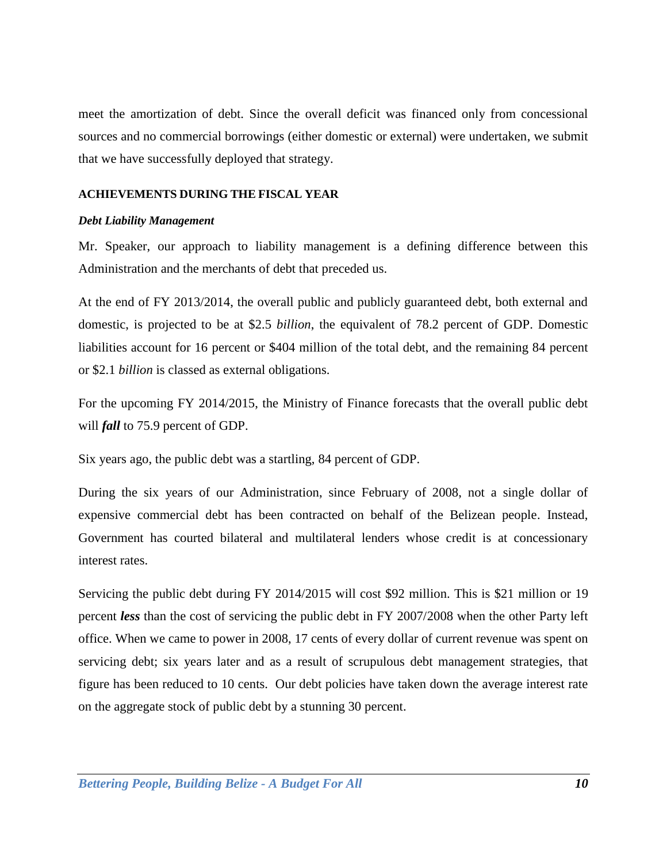meet the amortization of debt. Since the overall deficit was financed only from concessional sources and no commercial borrowings (either domestic or external) were undertaken, we submit that we have successfully deployed that strategy.

### <span id="page-9-0"></span>**ACHIEVEMENTS DURING THE FISCAL YEAR**

#### <span id="page-9-1"></span>*Debt Liability Management*

Mr. Speaker, our approach to liability management is a defining difference between this Administration and the merchants of debt that preceded us.

At the end of FY 2013/2014, the overall public and publicly guaranteed debt, both external and domestic, is projected to be at \$2.5 *billion*, the equivalent of 78.2 percent of GDP. Domestic liabilities account for 16 percent or \$404 million of the total debt, and the remaining 84 percent or \$2.1 *billion* is classed as external obligations.

For the upcoming FY 2014/2015, the Ministry of Finance forecasts that the overall public debt will *fall* to 75.9 percent of GDP.

Six years ago, the public debt was a startling, 84 percent of GDP.

During the six years of our Administration, since February of 2008, not a single dollar of expensive commercial debt has been contracted on behalf of the Belizean people. Instead, Government has courted bilateral and multilateral lenders whose credit is at concessionary interest rates.

Servicing the public debt during FY 2014/2015 will cost \$92 million. This is \$21 million or 19 percent *less* than the cost of servicing the public debt in FY 2007/2008 when the other Party left office. When we came to power in 2008, 17 cents of every dollar of current revenue was spent on servicing debt; six years later and as a result of scrupulous debt management strategies, that figure has been reduced to 10 cents. Our debt policies have taken down the average interest rate on the aggregate stock of public debt by a stunning 30 percent.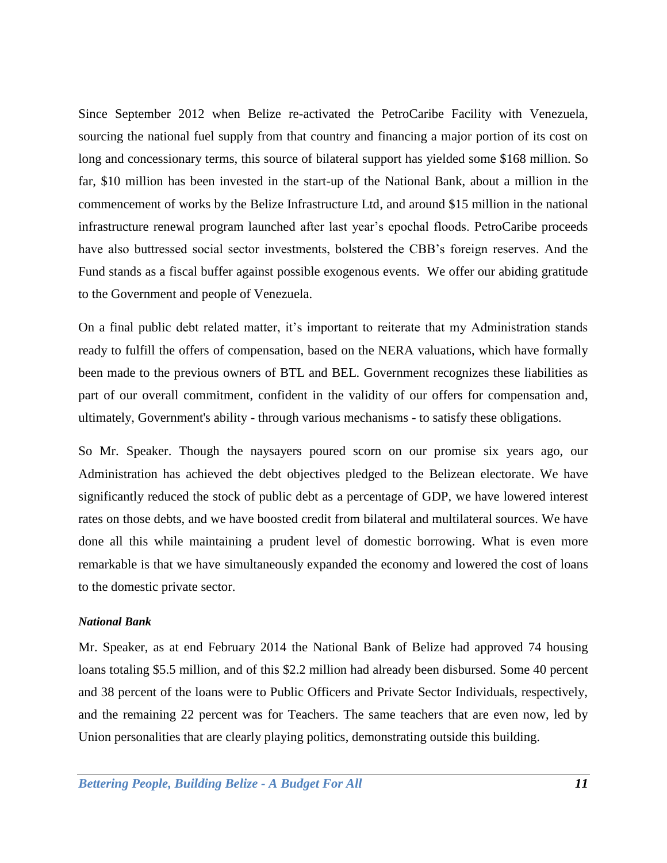Since September 2012 when Belize re-activated the PetroCaribe Facility with Venezuela, sourcing the national fuel supply from that country and financing a major portion of its cost on long and concessionary terms, this source of bilateral support has yielded some \$168 million. So far, \$10 million has been invested in the start-up of the National Bank, about a million in the commencement of works by the Belize Infrastructure Ltd, and around \$15 million in the national infrastructure renewal program launched after last year's epochal floods. PetroCaribe proceeds have also buttressed social sector investments, bolstered the CBB's foreign reserves. And the Fund stands as a fiscal buffer against possible exogenous events. We offer our abiding gratitude to the Government and people of Venezuela.

On a final public debt related matter, it's important to reiterate that my Administration stands ready to fulfill the offers of compensation, based on the NERA valuations, which have formally been made to the previous owners of BTL and BEL. Government recognizes these liabilities as part of our overall commitment, confident in the validity of our offers for compensation and, ultimately, Government's ability - through various mechanisms - to satisfy these obligations.

So Mr. Speaker. Though the naysayers poured scorn on our promise six years ago, our Administration has achieved the debt objectives pledged to the Belizean electorate. We have significantly reduced the stock of public debt as a percentage of GDP, we have lowered interest rates on those debts, and we have boosted credit from bilateral and multilateral sources. We have done all this while maintaining a prudent level of domestic borrowing. What is even more remarkable is that we have simultaneously expanded the economy and lowered the cost of loans to the domestic private sector.

## <span id="page-10-0"></span>*National Bank*

Mr. Speaker, as at end February 2014 the National Bank of Belize had approved 74 housing loans totaling \$5.5 million, and of this \$2.2 million had already been disbursed. Some 40 percent and 38 percent of the loans were to Public Officers and Private Sector Individuals, respectively, and the remaining 22 percent was for Teachers. The same teachers that are even now, led by Union personalities that are clearly playing politics, demonstrating outside this building.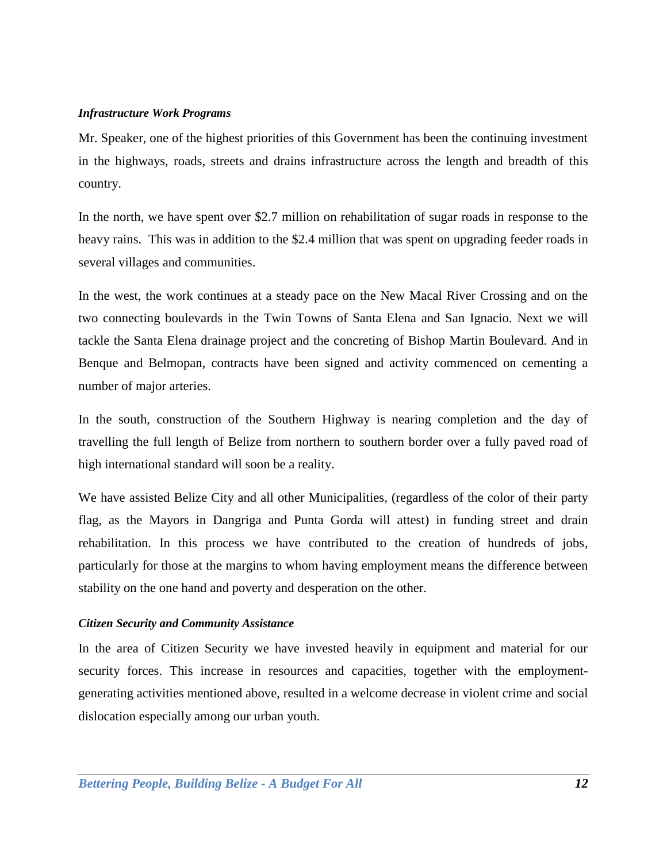### <span id="page-11-0"></span>*Infrastructure Work Programs*

Mr. Speaker, one of the highest priorities of this Government has been the continuing investment in the highways, roads, streets and drains infrastructure across the length and breadth of this country.

In the north, we have spent over \$2.7 million on rehabilitation of sugar roads in response to the heavy rains. This was in addition to the \$2.4 million that was spent on upgrading feeder roads in several villages and communities.

In the west, the work continues at a steady pace on the New Macal River Crossing and on the two connecting boulevards in the Twin Towns of Santa Elena and San Ignacio. Next we will tackle the Santa Elena drainage project and the concreting of Bishop Martin Boulevard. And in Benque and Belmopan, contracts have been signed and activity commenced on cementing a number of major arteries.

In the south, construction of the Southern Highway is nearing completion and the day of travelling the full length of Belize from northern to southern border over a fully paved road of high international standard will soon be a reality.

We have assisted Belize City and all other Municipalities, (regardless of the color of their party flag, as the Mayors in Dangriga and Punta Gorda will attest) in funding street and drain rehabilitation. In this process we have contributed to the creation of hundreds of jobs, particularly for those at the margins to whom having employment means the difference between stability on the one hand and poverty and desperation on the other.

## <span id="page-11-1"></span>*Citizen Security and Community Assistance*

In the area of Citizen Security we have invested heavily in equipment and material for our security forces. This increase in resources and capacities, together with the employmentgenerating activities mentioned above, resulted in a welcome decrease in violent crime and social dislocation especially among our urban youth.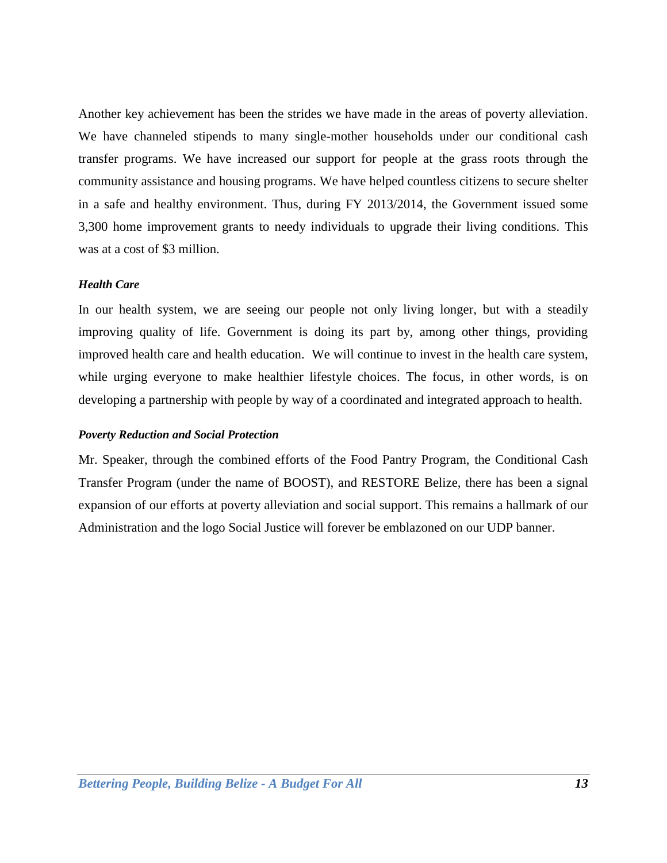Another key achievement has been the strides we have made in the areas of poverty alleviation. We have channeled stipends to many single-mother households under our conditional cash transfer programs. We have increased our support for people at the grass roots through the community assistance and housing programs. We have helped countless citizens to secure shelter in a safe and healthy environment. Thus, during FY 2013/2014, the Government issued some 3,300 home improvement grants to needy individuals to upgrade their living conditions. This was at a cost of \$3 million.

### <span id="page-12-0"></span>*Health Care*

In our health system, we are seeing our people not only living longer, but with a steadily improving quality of life. Government is doing its part by, among other things, providing improved health care and health education. We will continue to invest in the health care system, while urging everyone to make healthier lifestyle choices. The focus, in other words, is on developing a partnership with people by way of a coordinated and integrated approach to health.

#### <span id="page-12-1"></span>*Poverty Reduction and Social Protection*

Mr. Speaker, through the combined efforts of the Food Pantry Program, the Conditional Cash Transfer Program (under the name of BOOST), and RESTORE Belize, there has been a signal expansion of our efforts at poverty alleviation and social support. This remains a hallmark of our Administration and the logo Social Justice will forever be emblazoned on our UDP banner.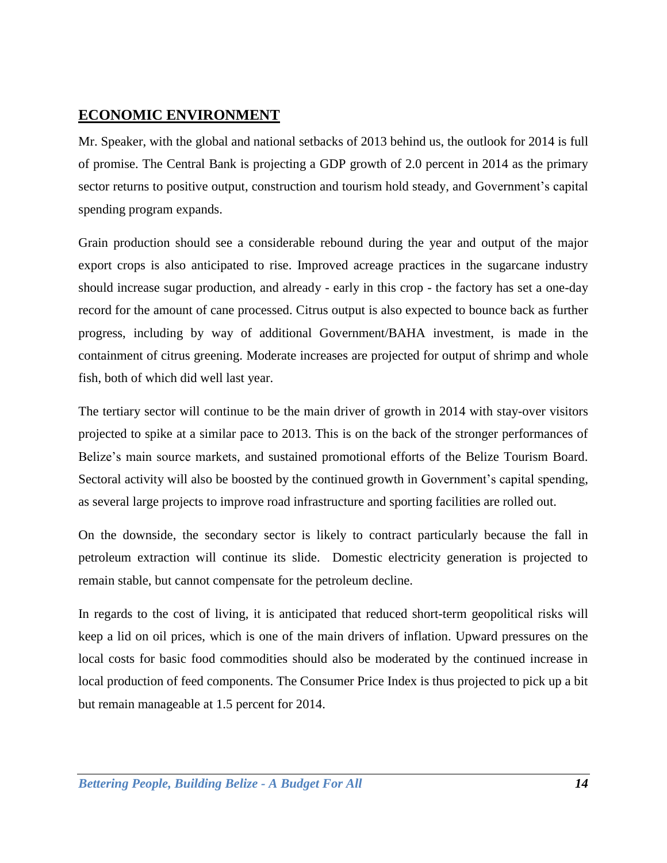# <span id="page-13-0"></span>**ECONOMIC ENVIRONMENT**

Mr. Speaker, with the global and national setbacks of 2013 behind us, the outlook for 2014 is full of promise. The Central Bank is projecting a GDP growth of 2.0 percent in 2014 as the primary sector returns to positive output, construction and tourism hold steady, and Government's capital spending program expands.

Grain production should see a considerable rebound during the year and output of the major export crops is also anticipated to rise. Improved acreage practices in the sugarcane industry should increase sugar production, and already - early in this crop - the factory has set a one-day record for the amount of cane processed. Citrus output is also expected to bounce back as further progress, including by way of additional Government/BAHA investment, is made in the containment of citrus greening. Moderate increases are projected for output of shrimp and whole fish, both of which did well last year.

The tertiary sector will continue to be the main driver of growth in 2014 with stay-over visitors projected to spike at a similar pace to 2013. This is on the back of the stronger performances of Belize's main source markets, and sustained promotional efforts of the Belize Tourism Board. Sectoral activity will also be boosted by the continued growth in Government's capital spending, as several large projects to improve road infrastructure and sporting facilities are rolled out.

On the downside, the secondary sector is likely to contract particularly because the fall in petroleum extraction will continue its slide. Domestic electricity generation is projected to remain stable, but cannot compensate for the petroleum decline.

In regards to the cost of living, it is anticipated that reduced short-term geopolitical risks will keep a lid on oil prices, which is one of the main drivers of inflation. Upward pressures on the local costs for basic food commodities should also be moderated by the continued increase in local production of feed components. The Consumer Price Index is thus projected to pick up a bit but remain manageable at 1.5 percent for 2014.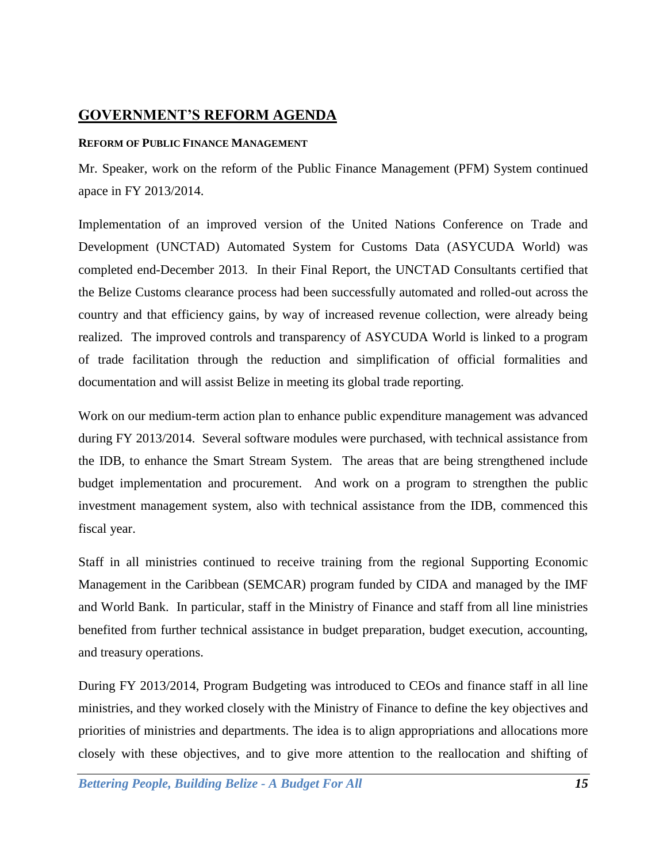# <span id="page-14-0"></span>**GOVERNMENT'S REFORM AGENDA**

# <span id="page-14-1"></span>**REFORM OF PUBLIC FINANCE MANAGEMENT**

Mr. Speaker, work on the reform of the Public Finance Management (PFM) System continued apace in FY 2013/2014.

Implementation of an improved version of the United Nations Conference on Trade and Development (UNCTAD) Automated System for Customs Data (ASYCUDA World) was completed end-December 2013. In their Final Report, the UNCTAD Consultants certified that the Belize Customs clearance process had been successfully automated and rolled-out across the country and that efficiency gains, by way of increased revenue collection, were already being realized. The improved controls and transparency of ASYCUDA World is linked to a program of trade facilitation through the reduction and simplification of official formalities and documentation and will assist Belize in meeting its global trade reporting.

Work on our medium-term action plan to enhance public expenditure management was advanced during FY 2013/2014. Several software modules were purchased, with technical assistance from the IDB, to enhance the Smart Stream System. The areas that are being strengthened include budget implementation and procurement. And work on a program to strengthen the public investment management system, also with technical assistance from the IDB, commenced this fiscal year.

Staff in all ministries continued to receive training from the regional Supporting Economic Management in the Caribbean (SEMCAR) program funded by CIDA and managed by the IMF and World Bank. In particular, staff in the Ministry of Finance and staff from all line ministries benefited from further technical assistance in budget preparation, budget execution, accounting, and treasury operations.

During FY 2013/2014, Program Budgeting was introduced to CEOs and finance staff in all line ministries, and they worked closely with the Ministry of Finance to define the key objectives and priorities of ministries and departments. The idea is to align appropriations and allocations more closely with these objectives, and to give more attention to the reallocation and shifting of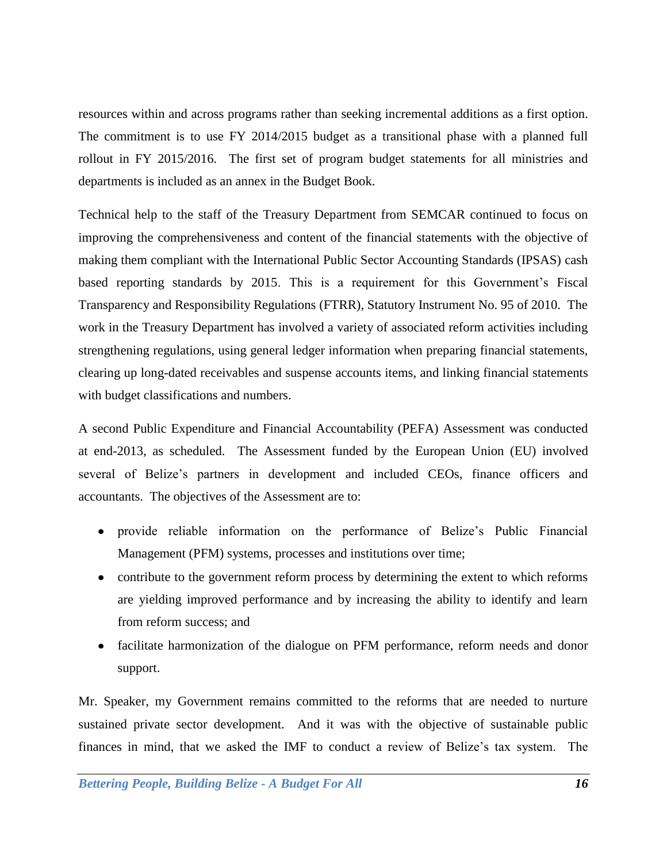resources within and across programs rather than seeking incremental additions as a first option. The commitment is to use FY 2014/2015 budget as a transitional phase with a planned full rollout in FY 2015/2016. The first set of program budget statements for all ministries and departments is included as an annex in the Budget Book.

Technical help to the staff of the Treasury Department from SEMCAR continued to focus on improving the comprehensiveness and content of the financial statements with the objective of making them compliant with the International Public Sector Accounting Standards (IPSAS) cash based reporting standards by 2015. This is a requirement for this Government's Fiscal Transparency and Responsibility Regulations (FTRR), Statutory Instrument No. 95 of 2010. The work in the Treasury Department has involved a variety of associated reform activities including strengthening regulations, using general ledger information when preparing financial statements, clearing up long-dated receivables and suspense accounts items, and linking financial statements with budget classifications and numbers.

A second Public Expenditure and Financial Accountability (PEFA) Assessment was conducted at end-2013, as scheduled. The Assessment funded by the European Union (EU) involved several of Belize's partners in development and included CEOs, finance officers and accountants. The objectives of the Assessment are to:

- provide reliable information on the performance of Belize's Public Financial Management (PFM) systems, processes and institutions over time;
- contribute to the government reform process by determining the extent to which reforms are yielding improved performance and by increasing the ability to identify and learn from reform success; and
- facilitate harmonization of the dialogue on PFM performance, reform needs and donor support.

Mr. Speaker, my Government remains committed to the reforms that are needed to nurture sustained private sector development. And it was with the objective of sustainable public finances in mind, that we asked the IMF to conduct a review of Belize's tax system. The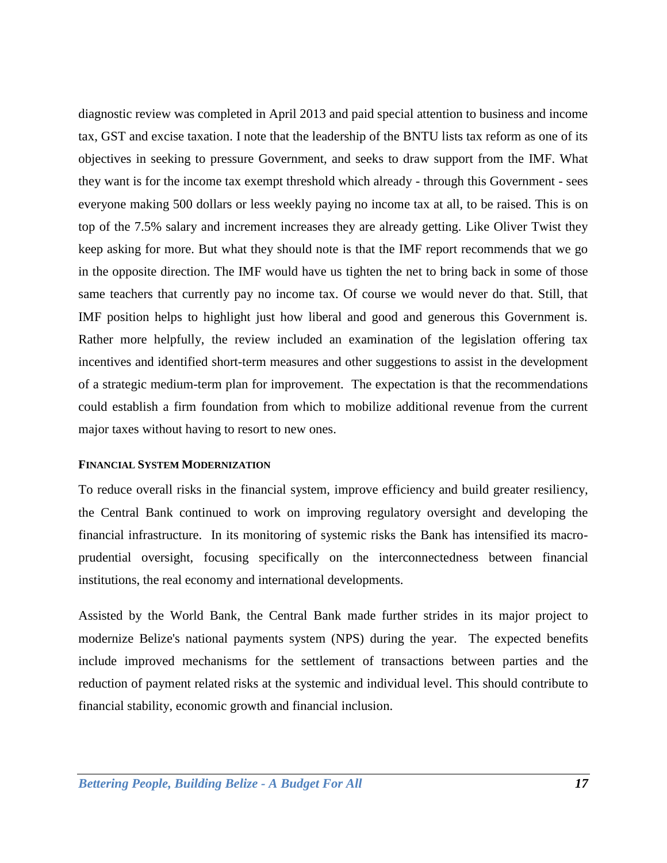diagnostic review was completed in April 2013 and paid special attention to business and income tax, GST and excise taxation. I note that the leadership of the BNTU lists tax reform as one of its objectives in seeking to pressure Government, and seeks to draw support from the IMF. What they want is for the income tax exempt threshold which already - through this Government - sees everyone making 500 dollars or less weekly paying no income tax at all, to be raised. This is on top of the 7.5% salary and increment increases they are already getting. Like Oliver Twist they keep asking for more. But what they should note is that the IMF report recommends that we go in the opposite direction. The IMF would have us tighten the net to bring back in some of those same teachers that currently pay no income tax. Of course we would never do that. Still, that IMF position helps to highlight just how liberal and good and generous this Government is. Rather more helpfully, the review included an examination of the legislation offering tax incentives and identified short-term measures and other suggestions to assist in the development of a strategic medium-term plan for improvement. The expectation is that the recommendations could establish a firm foundation from which to mobilize additional revenue from the current major taxes without having to resort to new ones.

#### <span id="page-16-0"></span>**FINANCIAL SYSTEM MODERNIZATION**

To reduce overall risks in the financial system, improve efficiency and build greater resiliency, the Central Bank continued to work on improving regulatory oversight and developing the financial infrastructure. In its monitoring of systemic risks the Bank has intensified its macroprudential oversight, focusing specifically on the interconnectedness between financial institutions, the real economy and international developments.

Assisted by the World Bank, the Central Bank made further strides in its major project to modernize Belize's national payments system (NPS) during the year. The expected benefits include improved mechanisms for the settlement of transactions between parties and the reduction of payment related risks at the systemic and individual level. This should contribute to financial stability, economic growth and financial inclusion.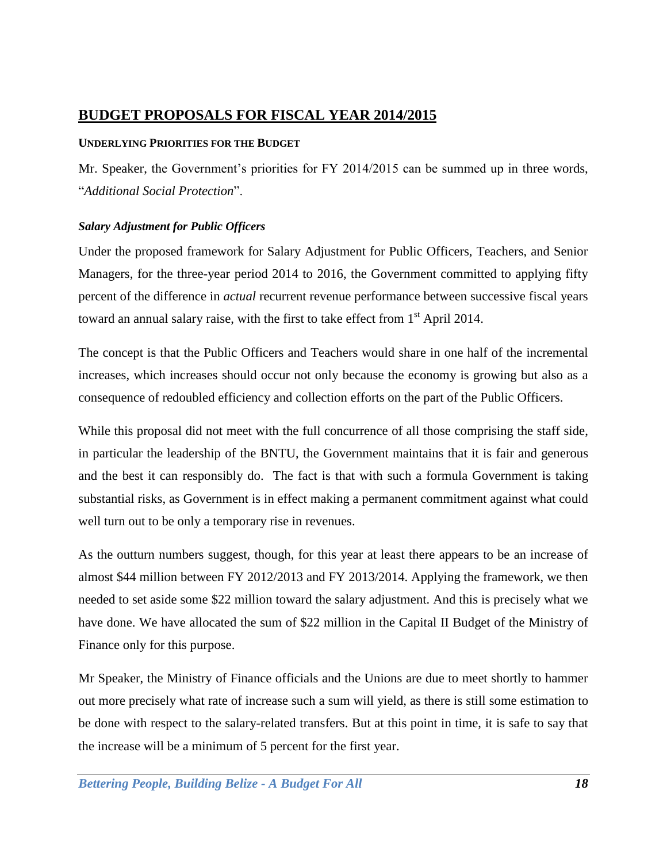# <span id="page-17-0"></span>**BUDGET PROPOSALS FOR FISCAL YEAR 2014/2015**

# <span id="page-17-1"></span>**UNDERLYING PRIORITIES FOR THE BUDGET**

Mr. Speaker, the Government's priorities for FY 2014/2015 can be summed up in three words, "*Additional Social Protection*".

# <span id="page-17-2"></span>*Salary Adjustment for Public Officers*

Under the proposed framework for Salary Adjustment for Public Officers, Teachers, and Senior Managers, for the three-year period 2014 to 2016, the Government committed to applying fifty percent of the difference in *actual* recurrent revenue performance between successive fiscal years toward an annual salary raise, with the first to take effect from 1<sup>st</sup> April 2014.

The concept is that the Public Officers and Teachers would share in one half of the incremental increases, which increases should occur not only because the economy is growing but also as a consequence of redoubled efficiency and collection efforts on the part of the Public Officers.

While this proposal did not meet with the full concurrence of all those comprising the staff side, in particular the leadership of the BNTU, the Government maintains that it is fair and generous and the best it can responsibly do. The fact is that with such a formula Government is taking substantial risks, as Government is in effect making a permanent commitment against what could well turn out to be only a temporary rise in revenues.

As the outturn numbers suggest, though, for this year at least there appears to be an increase of almost \$44 million between FY 2012/2013 and FY 2013/2014. Applying the framework, we then needed to set aside some \$22 million toward the salary adjustment. And this is precisely what we have done. We have allocated the sum of \$22 million in the Capital II Budget of the Ministry of Finance only for this purpose.

Mr Speaker, the Ministry of Finance officials and the Unions are due to meet shortly to hammer out more precisely what rate of increase such a sum will yield, as there is still some estimation to be done with respect to the salary-related transfers. But at this point in time, it is safe to say that the increase will be a minimum of 5 percent for the first year.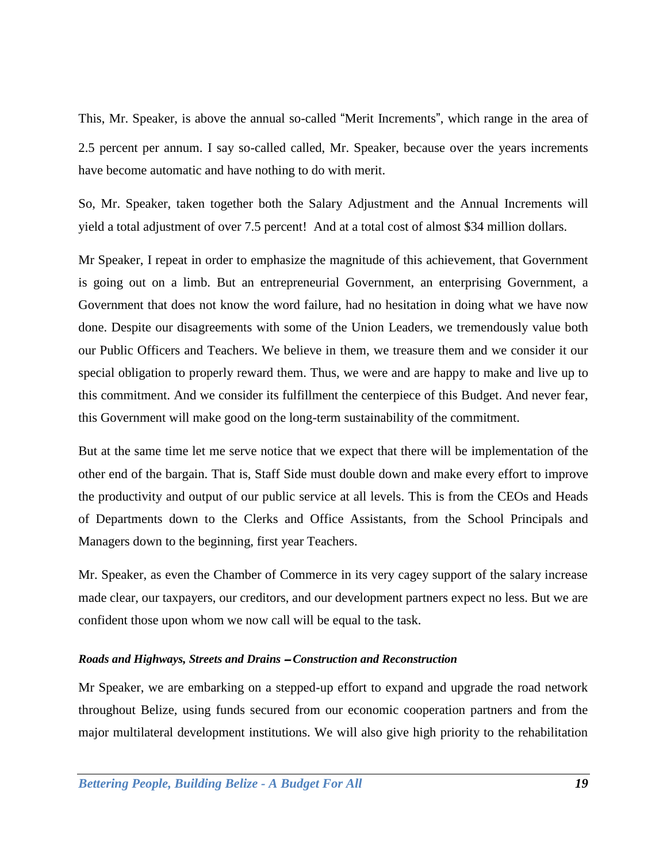This, Mr. Speaker, is above the annual so-called "Merit Increments", which range in the area of 2.5 percent per annum. I say so-called called, Mr. Speaker, because over the years increments have become automatic and have nothing to do with merit.

So, Mr. Speaker, taken together both the Salary Adjustment and the Annual Increments will yield a total adjustment of over 7.5 percent! And at a total cost of almost \$34 million dollars.

Mr Speaker, I repeat in order to emphasize the magnitude of this achievement, that Government is going out on a limb. But an entrepreneurial Government, an enterprising Government, a Government that does not know the word failure, had no hesitation in doing what we have now done. Despite our disagreements with some of the Union Leaders, we tremendously value both our Public Officers and Teachers. We believe in them, we treasure them and we consider it our special obligation to properly reward them. Thus, we were and are happy to make and live up to this commitment. And we consider its fulfillment the centerpiece of this Budget. And never fear, this Government will make good on the long-term sustainability of the commitment.

But at the same time let me serve notice that we expect that there will be implementation of the other end of the bargain. That is, Staff Side must double down and make every effort to improve the productivity and output of our public service at all levels. This is from the CEOs and Heads of Departments down to the Clerks and Office Assistants, from the School Principals and Managers down to the beginning, first year Teachers.

Mr. Speaker, as even the Chamber of Commerce in its very cagey support of the salary increase made clear, our taxpayers, our creditors, and our development partners expect no less. But we are confident those upon whom we now call will be equal to the task.

## <span id="page-18-0"></span>*Roads and Highways, Streets and Drains* – *Construction and Reconstruction*

Mr Speaker, we are embarking on a stepped-up effort to expand and upgrade the road network throughout Belize, using funds secured from our economic cooperation partners and from the major multilateral development institutions. We will also give high priority to the rehabilitation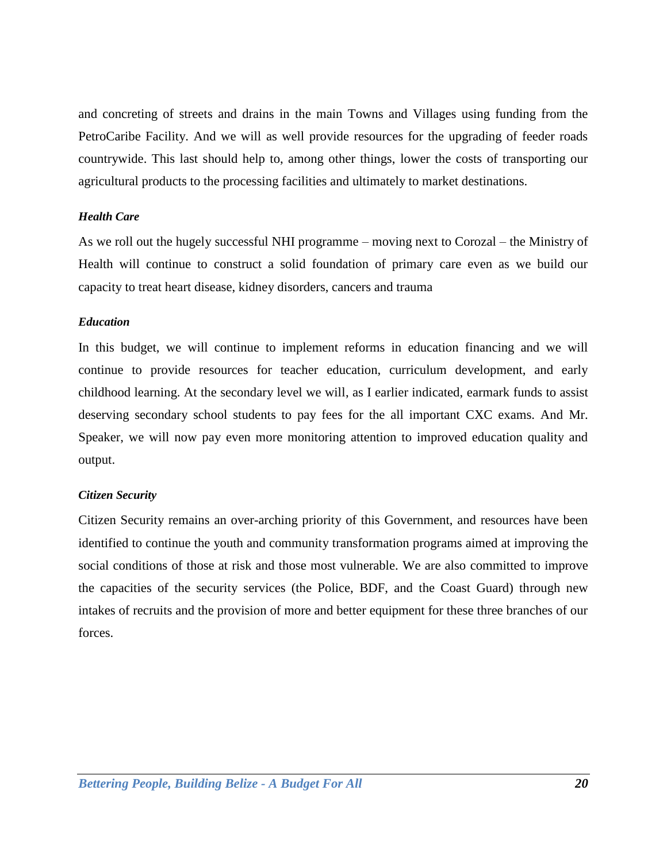and concreting of streets and drains in the main Towns and Villages using funding from the PetroCaribe Facility. And we will as well provide resources for the upgrading of feeder roads countrywide. This last should help to, among other things, lower the costs of transporting our agricultural products to the processing facilities and ultimately to market destinations.

### <span id="page-19-0"></span>*Health Care*

As we roll out the hugely successful NHI programme – moving next to Corozal – the Ministry of Health will continue to construct a solid foundation of primary care even as we build our capacity to treat heart disease, kidney disorders, cancers and trauma

### <span id="page-19-1"></span>*Education*

In this budget, we will continue to implement reforms in education financing and we will continue to provide resources for teacher education, curriculum development, and early childhood learning. At the secondary level we will, as I earlier indicated, earmark funds to assist deserving secondary school students to pay fees for the all important CXC exams. And Mr. Speaker, we will now pay even more monitoring attention to improved education quality and output.

## <span id="page-19-2"></span>*Citizen Security*

Citizen Security remains an over-arching priority of this Government, and resources have been identified to continue the youth and community transformation programs aimed at improving the social conditions of those at risk and those most vulnerable. We are also committed to improve the capacities of the security services (the Police, BDF, and the Coast Guard) through new intakes of recruits and the provision of more and better equipment for these three branches of our forces.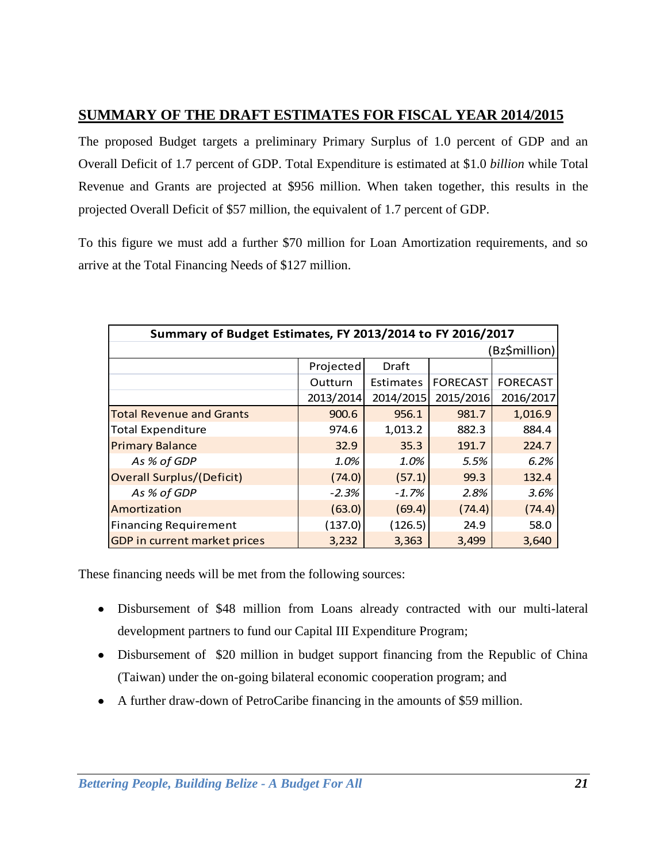# <span id="page-20-0"></span>**SUMMARY OF THE DRAFT ESTIMATES FOR FISCAL YEAR 2014/2015**

The proposed Budget targets a preliminary Primary Surplus of 1.0 percent of GDP and an Overall Deficit of 1.7 percent of GDP. Total Expenditure is estimated at \$1.0 *billion* while Total Revenue and Grants are projected at \$956 million. When taken together, this results in the projected Overall Deficit of \$57 million, the equivalent of 1.7 percent of GDP.

To this figure we must add a further \$70 million for Loan Amortization requirements, and so arrive at the Total Financing Needs of \$127 million.

| Summary of Budget Estimates, FY 2013/2014 to FY 2016/2017 |           |                  |                 |                 |
|-----------------------------------------------------------|-----------|------------------|-----------------|-----------------|
|                                                           |           |                  |                 | Bz\$million)    |
|                                                           | Projected | Draft            |                 |                 |
|                                                           | Outturn   | <b>Estimates</b> | <b>FORECAST</b> | <b>FORECAST</b> |
|                                                           | 2013/2014 | 2014/2015        | 2015/2016       | 2016/2017       |
| <b>Total Revenue and Grants</b>                           | 900.6     | 956.1            | 981.7           | 1,016.9         |
| <b>Total Expenditure</b>                                  | 974.6     | 1,013.2          | 882.3           | 884.4           |
| <b>Primary Balance</b>                                    | 32.9      | 35.3             | 191.7           | 224.7           |
| As % of GDP                                               | 1.0%      | 1.0%             | 5.5%            | 6.2%            |
| <b>Overall Surplus/(Deficit)</b>                          | (74.0)    | (57.1)           | 99.3            | 132.4           |
| As % of GDP                                               | $-2.3%$   | $-1.7%$          | 2.8%            | 3.6%            |
| Amortization                                              | (63.0)    | (69.4)           | (74.4)          | (74.4)          |
| <b>Financing Requirement</b>                              | (137.0)   | (126.5)          | 24.9            | 58.0            |
| <b>GDP</b> in current market prices                       | 3,232     | 3,363            | 3,499           | 3,640           |

These financing needs will be met from the following sources:

- Disbursement of \$48 million from Loans already contracted with our multi-lateral development partners to fund our Capital III Expenditure Program;
- Disbursement of \$20 million in budget support financing from the Republic of China (Taiwan) under the on-going bilateral economic cooperation program; and
- A further draw-down of PetroCaribe financing in the amounts of \$59 million.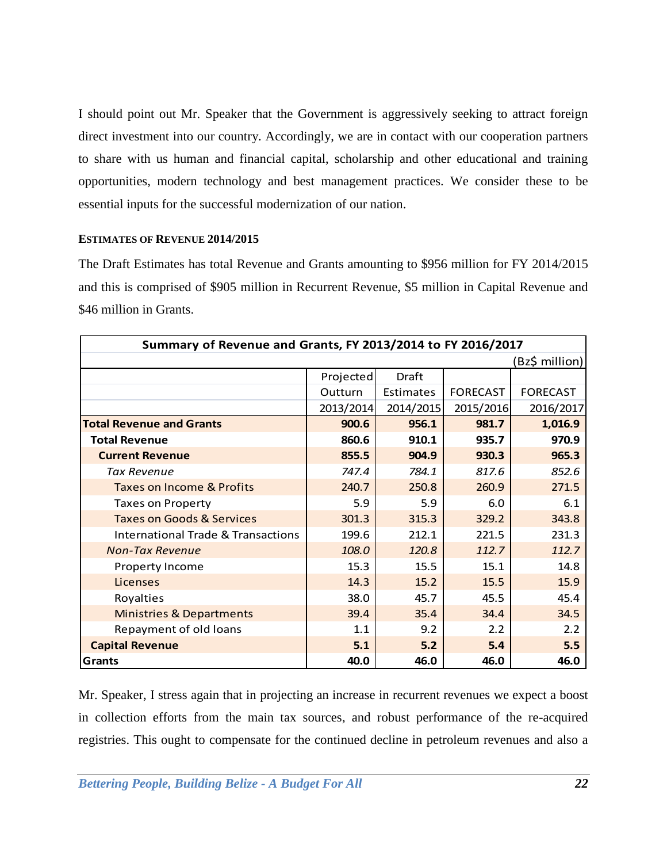I should point out Mr. Speaker that the Government is aggressively seeking to attract foreign direct investment into our country. Accordingly, we are in contact with our cooperation partners to share with us human and financial capital, scholarship and other educational and training opportunities, modern technology and best management practices. We consider these to be essential inputs for the successful modernization of our nation.

### <span id="page-21-0"></span>**ESTIMATES OF REVENUE 2014/2015**

The Draft Estimates has total Revenue and Grants amounting to \$956 million for FY 2014/2015 and this is comprised of \$905 million in Recurrent Revenue, \$5 million in Capital Revenue and \$46 million in Grants.

| Summary of Revenue and Grants, FY 2013/2014 to FY 2016/2017 |           |           |                 |                 |
|-------------------------------------------------------------|-----------|-----------|-----------------|-----------------|
|                                                             |           |           |                 | Bz\$ million)   |
|                                                             | Projected | Draft     |                 |                 |
|                                                             | Outturn   | Estimates | <b>FORECAST</b> | <b>FORECAST</b> |
|                                                             | 2013/2014 | 2014/2015 | 2015/2016       | 2016/2017       |
| <b>Total Revenue and Grants</b>                             | 900.6     | 956.1     | 981.7           | 1,016.9         |
| <b>Total Revenue</b>                                        | 860.6     | 910.1     | 935.7           | 970.9           |
| <b>Current Revenue</b>                                      | 855.5     | 904.9     | 930.3           | 965.3           |
| Tax Revenue                                                 | 747.4     | 784.1     | 817.6           | 852.6           |
| <b>Taxes on Income &amp; Profits</b>                        | 240.7     | 250.8     | 260.9           | 271.5           |
| <b>Taxes on Property</b>                                    | 5.9       | 5.9       | 6.0             | 6.1             |
| <b>Taxes on Goods &amp; Services</b>                        | 301.3     | 315.3     | 329.2           | 343.8           |
| <b>International Trade &amp; Transactions</b>               | 199.6     | 212.1     | 221.5           | 231.3           |
| <b>Non-Tax Revenue</b>                                      | 108.0     | 120.8     | 112.7           | 112.7           |
| Property Income                                             | 15.3      | 15.5      | 15.1            | 14.8            |
| Licenses                                                    | 14.3      | 15.2      | 15.5            | 15.9            |
| Royalties                                                   | 38.0      | 45.7      | 45.5            | 45.4            |
| <b>Ministries &amp; Departments</b>                         | 39.4      | 35.4      | 34.4            | 34.5            |
| Repayment of old loans                                      | 1.1       | 9.2       | 2.2             | 2.2             |
| <b>Capital Revenue</b>                                      | 5.1       | 5.2       | 5.4             | 5.5             |
| Grants                                                      | 40.0      | 46.0      | 46.0            | 46.0            |

Mr. Speaker, I stress again that in projecting an increase in recurrent revenues we expect a boost in collection efforts from the main tax sources, and robust performance of the re-acquired registries. This ought to compensate for the continued decline in petroleum revenues and also a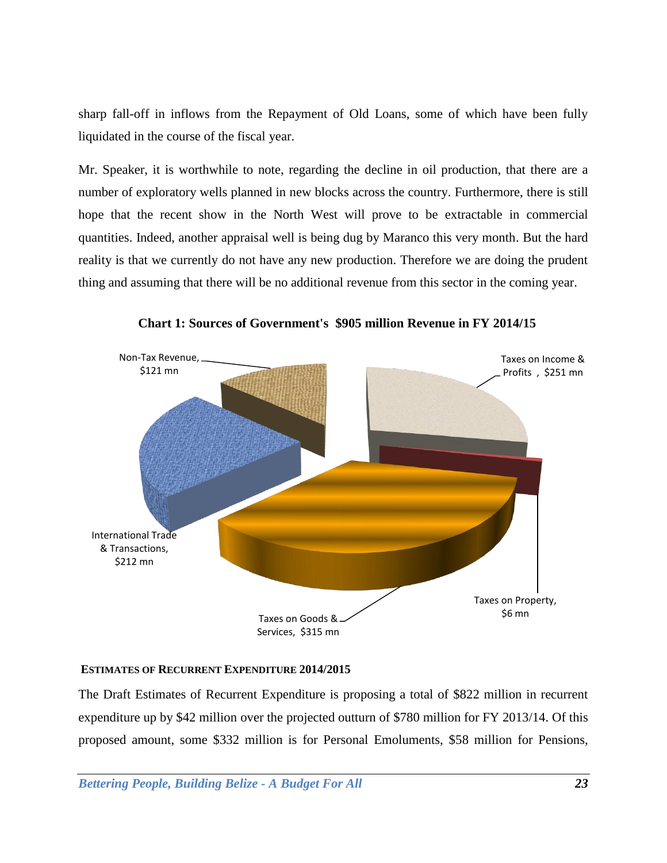sharp fall-off in inflows from the Repayment of Old Loans, some of which have been fully liquidated in the course of the fiscal year.

Mr. Speaker, it is worthwhile to note, regarding the decline in oil production, that there are a number of exploratory wells planned in new blocks across the country. Furthermore, there is still hope that the recent show in the North West will prove to be extractable in commercial quantities. Indeed, another appraisal well is being dug by Maranco this very month. But the hard reality is that we currently do not have any new production. Therefore we are doing the prudent thing and assuming that there will be no additional revenue from this sector in the coming year.



**Chart 1: Sources of Government's \$905 million Revenue in FY 2014/15**

## <span id="page-22-0"></span>**ESTIMATES OF RECURRENT EXPENDITURE 2014/2015**

The Draft Estimates of Recurrent Expenditure is proposing a total of \$822 million in recurrent expenditure up by \$42 million over the projected outturn of \$780 million for FY 2013/14. Of this proposed amount, some \$332 million is for Personal Emoluments, \$58 million for Pensions,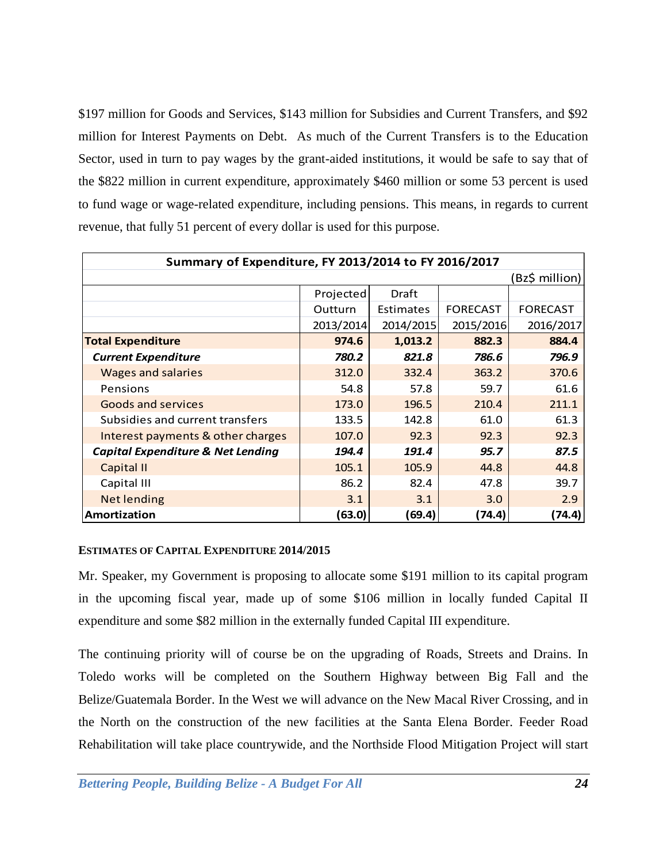\$197 million for Goods and Services, \$143 million for Subsidies and Current Transfers, and \$92 million for Interest Payments on Debt. As much of the Current Transfers is to the Education Sector, used in turn to pay wages by the grant-aided institutions, it would be safe to say that of the \$822 million in current expenditure, approximately \$460 million or some 53 percent is used to fund wage or wage-related expenditure, including pensions. This means, in regards to current revenue, that fully 51 percent of every dollar is used for this purpose.

| Summary of Expenditure, FY 2013/2014 to FY 2016/2017 |           |           |                 |                 |
|------------------------------------------------------|-----------|-----------|-----------------|-----------------|
| (Bz\$ million)                                       |           |           |                 |                 |
|                                                      | Projected | Draft     |                 |                 |
|                                                      | Outturn   | Estimates | <b>FORECAST</b> | <b>FORECAST</b> |
|                                                      | 2013/2014 | 2014/2015 | 2015/2016       | 2016/2017       |
| <b>Total Expenditure</b>                             | 974.6     | 1,013.2   | 882.3           | 884.4           |
| <b>Current Expenditure</b>                           | 780.2     | 821.8     | 786.6           | 796.9           |
| <b>Wages and salaries</b>                            | 312.0     | 332.4     | 363.2           | 370.6           |
| Pensions                                             | 54.8      | 57.8      | 59.7            | 61.6            |
| <b>Goods and services</b>                            | 173.0     | 196.5     | 210.4           | 211.1           |
| Subsidies and current transfers                      | 133.5     | 142.8     | 61.0            | 61.3            |
| Interest payments & other charges                    | 107.0     | 92.3      | 92.3            | 92.3            |
| <b>Capital Expenditure &amp; Net Lending</b>         | 194.4     | 191.4     | 95.7            | 87.5            |
| Capital II                                           | 105.1     | 105.9     | 44.8            | 44.8            |
| Capital III                                          | 86.2      | 82.4      | 47.8            | 39.7            |
| <b>Net lending</b>                                   | 3.1       | 3.1       | 3.0             | 2.9             |
| Amortization                                         | (63.0)    | (69.4)    | (74.4)          | (74.4)          |

## <span id="page-23-0"></span>**ESTIMATES OF CAPITAL EXPENDITURE 2014/2015**

Mr. Speaker, my Government is proposing to allocate some \$191 million to its capital program in the upcoming fiscal year, made up of some \$106 million in locally funded Capital II expenditure and some \$82 million in the externally funded Capital III expenditure.

The continuing priority will of course be on the upgrading of Roads, Streets and Drains. In Toledo works will be completed on the Southern Highway between Big Fall and the Belize/Guatemala Border. In the West we will advance on the New Macal River Crossing, and in the North on the construction of the new facilities at the Santa Elena Border. Feeder Road Rehabilitation will take place countrywide, and the Northside Flood Mitigation Project will start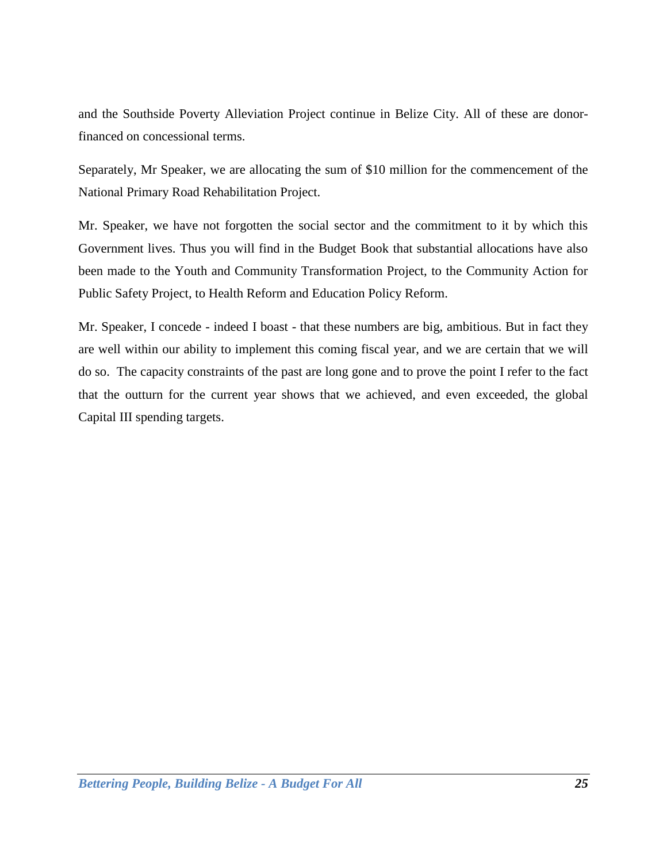and the Southside Poverty Alleviation Project continue in Belize City. All of these are donorfinanced on concessional terms.

Separately, Mr Speaker, we are allocating the sum of \$10 million for the commencement of the National Primary Road Rehabilitation Project.

Mr. Speaker, we have not forgotten the social sector and the commitment to it by which this Government lives. Thus you will find in the Budget Book that substantial allocations have also been made to the Youth and Community Transformation Project, to the Community Action for Public Safety Project, to Health Reform and Education Policy Reform.

Mr. Speaker, I concede - indeed I boast - that these numbers are big, ambitious. But in fact they are well within our ability to implement this coming fiscal year, and we are certain that we will do so. The capacity constraints of the past are long gone and to prove the point I refer to the fact that the outturn for the current year shows that we achieved, and even exceeded, the global Capital III spending targets.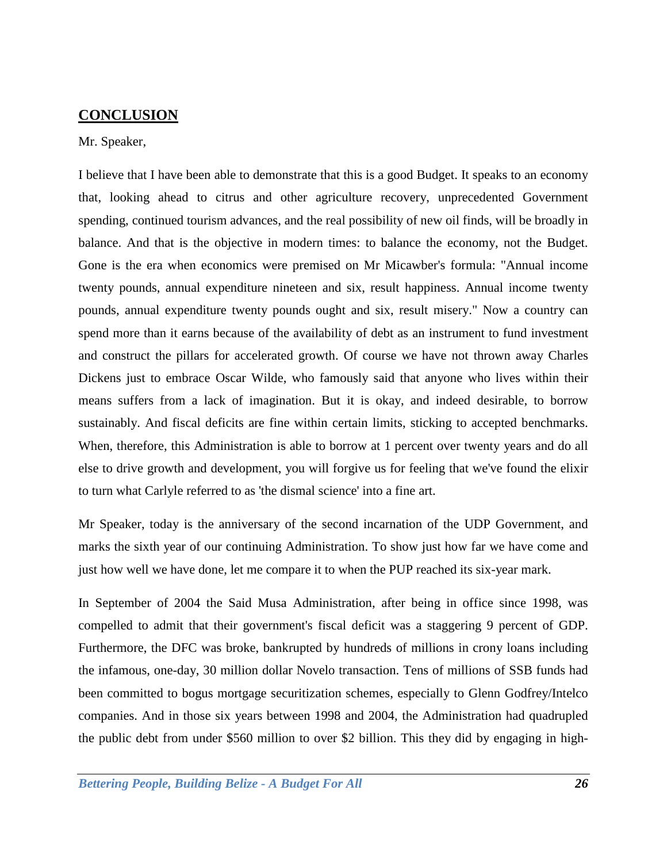# <span id="page-25-0"></span>**CONCLUSION**

#### Mr. Speaker,

I believe that I have been able to demonstrate that this is a good Budget. It speaks to an economy that, looking ahead to citrus and other agriculture recovery, unprecedented Government spending, continued tourism advances, and the real possibility of new oil finds, will be broadly in balance. And that is the objective in modern times: to balance the economy, not the Budget. Gone is the era when economics were premised on Mr Micawber's formula: "Annual income twenty pounds, annual expenditure nineteen and six, result happiness. Annual income twenty pounds, annual expenditure twenty pounds ought and six, result misery." Now a country can spend more than it earns because of the availability of debt as an instrument to fund investment and construct the pillars for accelerated growth. Of course we have not thrown away Charles Dickens just to embrace Oscar Wilde, who famously said that anyone who lives within their means suffers from a lack of imagination. But it is okay, and indeed desirable, to borrow sustainably. And fiscal deficits are fine within certain limits, sticking to accepted benchmarks. When, therefore, this Administration is able to borrow at 1 percent over twenty years and do all else to drive growth and development, you will forgive us for feeling that we've found the elixir to turn what Carlyle referred to as 'the dismal science' into a fine art.

Mr Speaker, today is the anniversary of the second incarnation of the UDP Government, and marks the sixth year of our continuing Administration. To show just how far we have come and just how well we have done, let me compare it to when the PUP reached its six-year mark.

In September of 2004 the Said Musa Administration, after being in office since 1998, was compelled to admit that their government's fiscal deficit was a staggering 9 percent of GDP. Furthermore, the DFC was broke, bankrupted by hundreds of millions in crony loans including the infamous, one-day, 30 million dollar Novelo transaction. Tens of millions of SSB funds had been committed to bogus mortgage securitization schemes, especially to Glenn Godfrey/Intelco companies. And in those six years between 1998 and 2004, the Administration had quadrupled the public debt from under \$560 million to over \$2 billion. This they did by engaging in high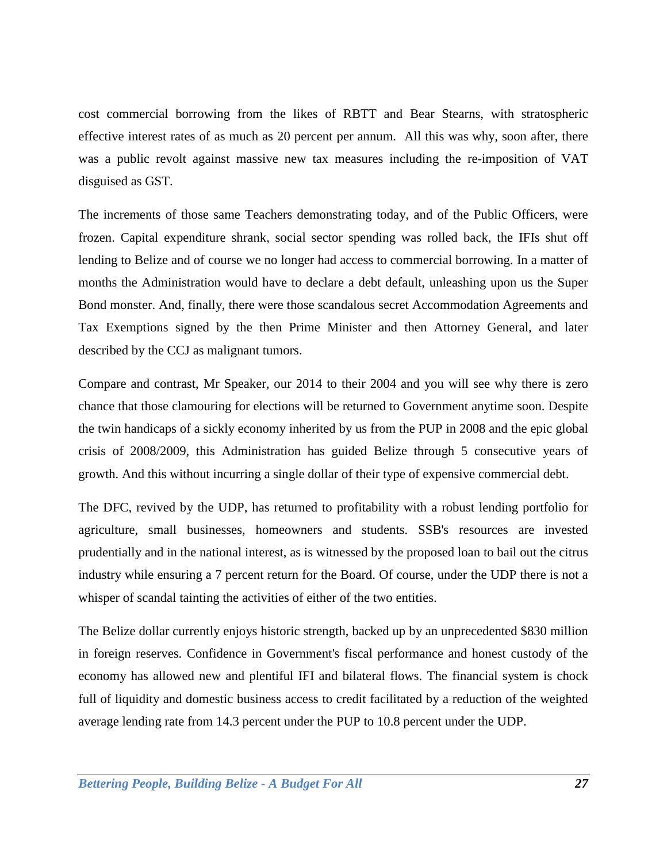cost commercial borrowing from the likes of RBTT and Bear Stearns, with stratospheric effective interest rates of as much as 20 percent per annum. All this was why, soon after, there was a public revolt against massive new tax measures including the re-imposition of VAT disguised as GST.

The increments of those same Teachers demonstrating today, and of the Public Officers, were frozen. Capital expenditure shrank, social sector spending was rolled back, the IFIs shut off lending to Belize and of course we no longer had access to commercial borrowing. In a matter of months the Administration would have to declare a debt default, unleashing upon us the Super Bond monster. And, finally, there were those scandalous secret Accommodation Agreements and Tax Exemptions signed by the then Prime Minister and then Attorney General, and later described by the CCJ as malignant tumors.

Compare and contrast, Mr Speaker, our 2014 to their 2004 and you will see why there is zero chance that those clamouring for elections will be returned to Government anytime soon. Despite the twin handicaps of a sickly economy inherited by us from the PUP in 2008 and the epic global crisis of 2008/2009, this Administration has guided Belize through 5 consecutive years of growth. And this without incurring a single dollar of their type of expensive commercial debt.

The DFC, revived by the UDP, has returned to profitability with a robust lending portfolio for agriculture, small businesses, homeowners and students. SSB's resources are invested prudentially and in the national interest, as is witnessed by the proposed loan to bail out the citrus industry while ensuring a 7 percent return for the Board. Of course, under the UDP there is not a whisper of scandal tainting the activities of either of the two entities.

The Belize dollar currently enjoys historic strength, backed up by an unprecedented \$830 million in foreign reserves. Confidence in Government's fiscal performance and honest custody of the economy has allowed new and plentiful IFI and bilateral flows. The financial system is chock full of liquidity and domestic business access to credit facilitated by a reduction of the weighted average lending rate from 14.3 percent under the PUP to 10.8 percent under the UDP.